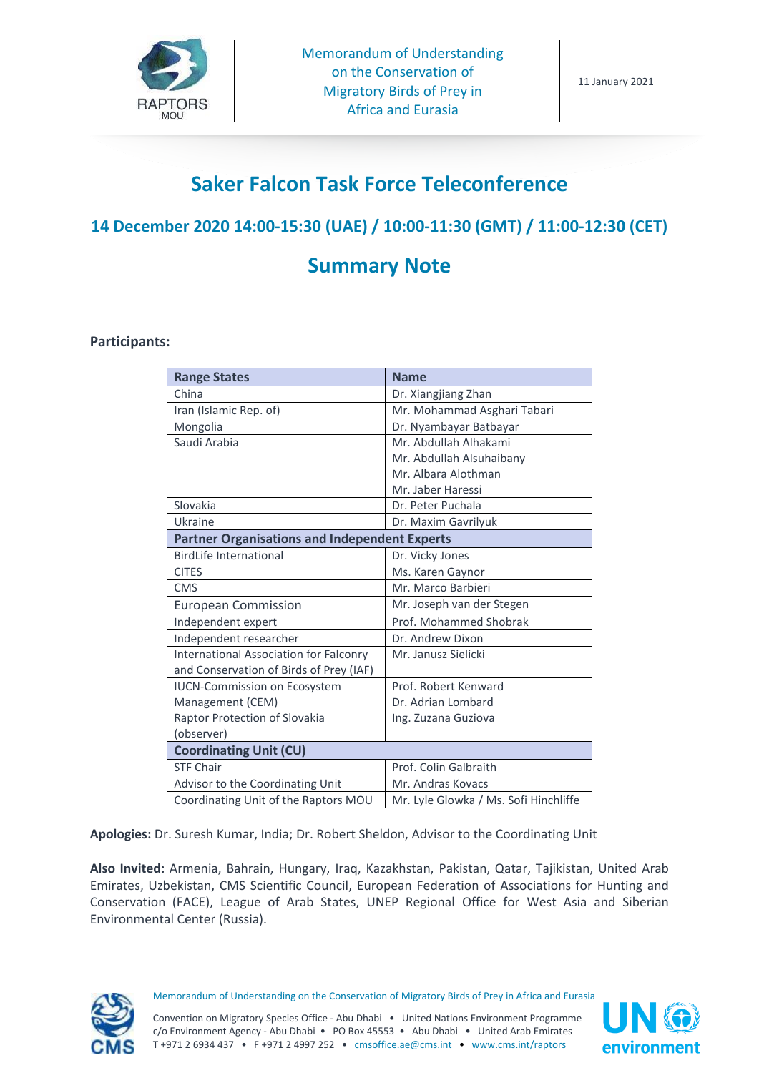

# **Saker Falcon Task Force Teleconference**

# **14 December 2020 14:00-15:30 (UAE) / 10:00-11:30 (GMT) / 11:00-12:30 (CET)**

# **Summary Note**

#### **Participants:**

| <b>Range States</b>                                  | <b>Name</b>                           |
|------------------------------------------------------|---------------------------------------|
| China                                                | Dr. Xiangjiang Zhan                   |
| Iran (Islamic Rep. of)                               | Mr. Mohammad Asghari Tabari           |
| Mongolia                                             | Dr. Nyambayar Batbayar                |
| Saudi Arabia                                         | Mr. Abdullah Alhakami                 |
|                                                      | Mr. Abdullah Alsuhaibany              |
|                                                      | Mr. Albara Alothman                   |
|                                                      | Mr. Jaber Haressi                     |
| Slovakia                                             | Dr. Peter Puchala                     |
| Ukraine                                              | Dr. Maxim Gavrilyuk                   |
| <b>Partner Organisations and Independent Experts</b> |                                       |
| <b>BirdLife International</b>                        | Dr. Vicky Jones                       |
| <b>CITES</b>                                         | Ms. Karen Gaynor                      |
| <b>CMS</b>                                           | Mr. Marco Barbieri                    |
| <b>European Commission</b>                           | Mr. Joseph van der Stegen             |
| Independent expert                                   | Prof. Mohammed Shobrak                |
| Independent researcher                               | Dr. Andrew Dixon                      |
| <b>International Association for Falconry</b>        | Mr. Janusz Sielicki                   |
| and Conservation of Birds of Prey (IAF)              |                                       |
| <b>IUCN-Commission on Ecosystem</b>                  | Prof. Robert Kenward                  |
| Management (CEM)                                     | Dr. Adrian Lombard                    |
| Raptor Protection of Slovakia                        | Ing. Zuzana Guziova                   |
| (observer)                                           |                                       |
| <b>Coordinating Unit (CU)</b>                        |                                       |
| <b>STF Chair</b>                                     | Prof. Colin Galbraith                 |
| Advisor to the Coordinating Unit                     | Mr. Andras Kovacs                     |
| Coordinating Unit of the Raptors MOU                 | Mr. Lyle Glowka / Ms. Sofi Hinchliffe |

**Apologies:** Dr. Suresh Kumar, India; Dr. Robert Sheldon, Advisor to the Coordinating Unit

**Also Invited:** Armenia, Bahrain, Hungary, Iraq, Kazakhstan, Pakistan, Qatar, Tajikistan, United Arab Emirates, Uzbekistan, CMS Scientific Council, European Federation of Associations for Hunting and Conservation (FACE), League of Arab States, UNEP Regional Office for West Asia and Siberian Environmental Center (Russia).



Memorandum of Understanding on the Conservation of Migratory Birds of Prey in Africa and Eurasia

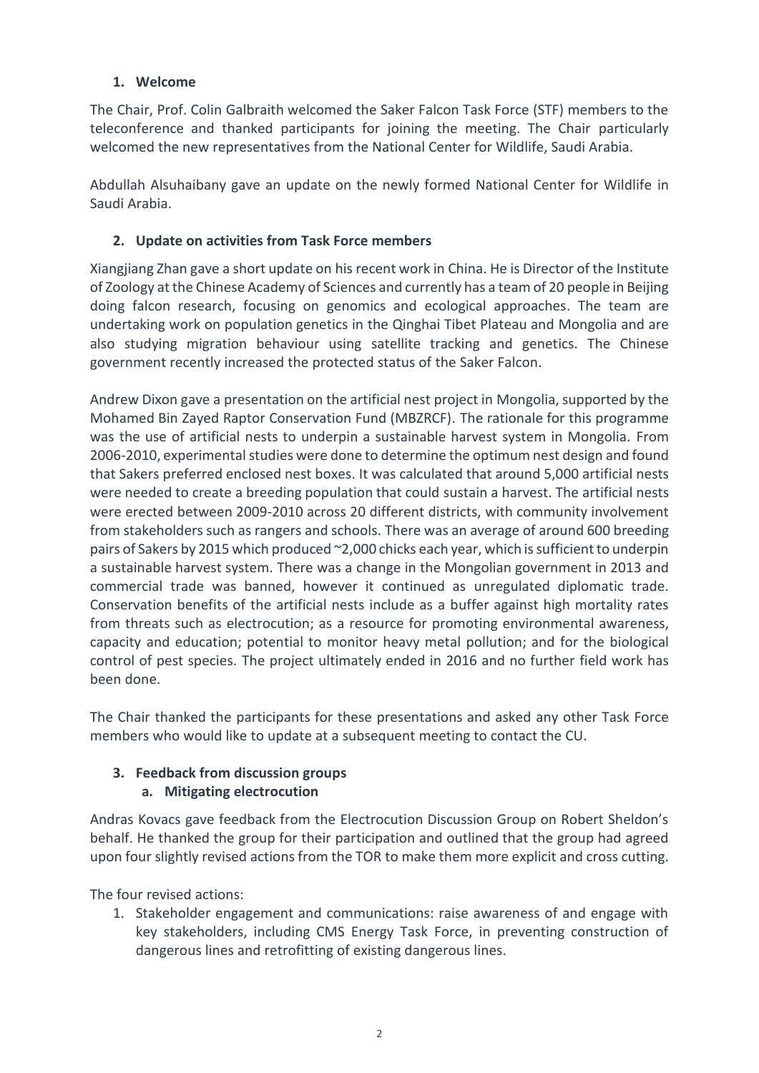### **1. Welcome**

The Chair, Prof. Colin Galbraith welcomed the Saker Falcon Task Force (STF) members to the teleconference and thanked participants for joining the meeting. The Chair particularly welcomed the new representatives from the National Center for Wildlife, Saudi Arabia.

Abdullah Alsuhaibany gave an update on the newly formed National Center for Wildlife in Saudi Arabia.

# **2. Update on activities from Task Force members**

Xiangjiang Zhan gave a short update on his recent work in China. He is Director of the Institute of Zoology at the Chinese Academy of Sciences and currently has a team of 20 people in Beijing doing falcon research, focusing on genomics and ecological approaches. The team are undertaking work on population genetics in the Qinghai Tibet Plateau and Mongolia and are also studying migration behaviour using satellite tracking and genetics. The Chinese government recently increased the protected status of the Saker Falcon.

Andrew Dixon gave a presentation on the artificial nest project in Mongolia, supported by the Mohamed Bin Zayed Raptor Conservation Fund (MBZRCF). The rationale for this programme was the use of artificial nests to underpin a sustainable harvest system in Mongolia. From 2006-2010, experimental studies were done to determine the optimum nest design and found that Sakers preferred enclosed nest boxes. It was calculated that around 5,000 artificial nests were needed to create a breeding population that could sustain a harvest. The artificial nests were erected between 2009-2010 across 20 different districts, with community involvement from stakeholders such as rangers and schools. There was an average of around 600 breeding pairs of Sakers by 2015 which produced ~2,000 chicks each year, which is sufficient to underpin a sustainable harvest system. There was a change in the Mongolian government in 2013 and commercial trade was banned, however it continued as unregulated diplomatic trade. Conservation benefits of the artificial nests include as a buffer against high mortality rates from threats such as electrocution; as a resource for promoting environmental awareness, capacity and education; potential to monitor heavy metal pollution; and for the biological control of pest species. The project ultimately ended in 2016 and no further field work has been done.

The Chair thanked the participants for these presentations and asked any other Task Force members who would like to update at a subsequent meeting to contact the CU.

# **3. Feedback from discussion groups**

# **a. Mitigating electrocution**

Andras Kovacs gave feedback from the Electrocution Discussion Group on Robert Sheldon's behalf. He thanked the group for their participation and outlined that the group had agreed upon four slightly revised actions from the TOR to make them more explicit and cross cutting.

The four revised actions:

1. Stakeholder engagement and communications: raise awareness of and engage with key stakeholders, including CMS Energy Task Force, in preventing construction of dangerous lines and retrofitting of existing dangerous lines.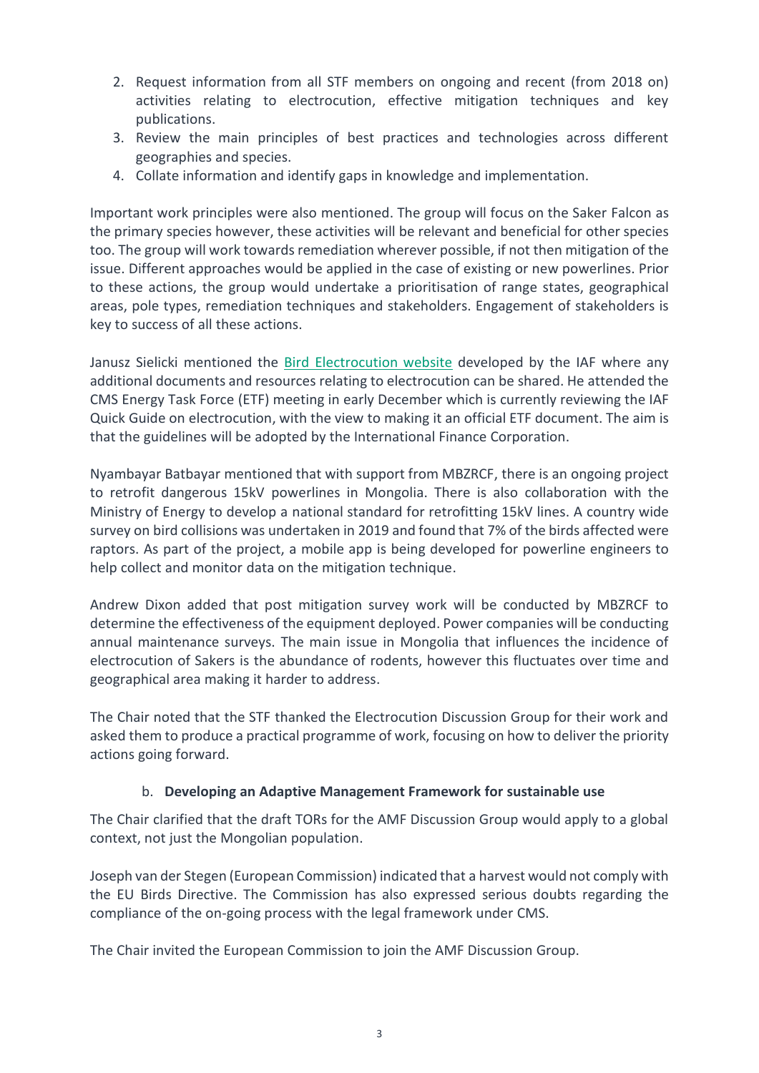- 2. Request information from all STF members on ongoing and recent (from 2018 on) activities relating to electrocution, effective mitigation techniques and key publications.
- 3. Review the main principles of best practices and technologies across different geographies and species.
- 4. Collate information and identify gaps in knowledge and implementation.

Important work principles were also mentioned. The group will focus on the Saker Falcon as the primary species however, these activities will be relevant and beneficial for other species too. The group will work towards remediation wherever possible, if not then mitigation of the issue. Different approaches would be applied in the case of existing or new powerlines. Prior to these actions, the group would undertake a prioritisation of range states, geographical areas, pole types, remediation techniques and stakeholders. Engagement of stakeholders is key to success of all these actions.

Janusz Sielicki mentioned the [Bird Electrocution website](https://birdelectrocution.org/links-and-resources/) developed by the IAF where any additional documents and resources relating to electrocution can be shared. He attended the CMS Energy Task Force (ETF) meeting in early December which is currently reviewing the IAF Quick Guide on electrocution, with the view to making it an official ETF document. The aim is that the guidelines will be adopted by the International Finance Corporation.

Nyambayar Batbayar mentioned that with support from MBZRCF, there is an ongoing project to retrofit dangerous 15kV powerlines in Mongolia. There is also collaboration with the Ministry of Energy to develop a national standard for retrofitting 15kV lines. A country wide survey on bird collisions was undertaken in 2019 and found that 7% of the birds affected were raptors. As part of the project, a mobile app is being developed for powerline engineers to help collect and monitor data on the mitigation technique.

Andrew Dixon added that post mitigation survey work will be conducted by MBZRCF to determine the effectiveness of the equipment deployed. Power companies will be conducting annual maintenance surveys. The main issue in Mongolia that influences the incidence of electrocution of Sakers is the abundance of rodents, however this fluctuates over time and geographical area making it harder to address.

The Chair noted that the STF thanked the Electrocution Discussion Group for their work and asked them to produce a practical programme of work, focusing on how to deliver the priority actions going forward.

### b. **Developing an Adaptive Management Framework for sustainable use**

The Chair clarified that the draft TORs for the AMF Discussion Group would apply to a global context, not just the Mongolian population.

Joseph van der Stegen (European Commission) indicated that a harvest would not comply with the EU Birds Directive. The Commission has also expressed serious doubts regarding the compliance of the on-going process with the legal framework under CMS.

The Chair invited the European Commission to join the AMF Discussion Group.